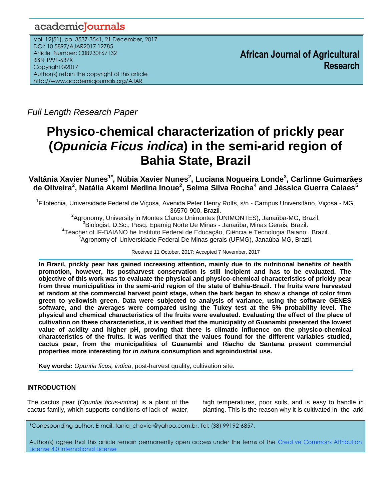# academiclournals

Vol. 12(51), pp. 3537-3541, 21 December, 2017 DOI: 10.5897/AJAR2017.12785 Article Number: C0B930F67132 ISSN 1991-637X Copyright ©2017 Author(s) retain the copyright of this article http://www.academicjournals.org/AJAR

**African Journal of Agricultural Research**

*Full Length Research Paper*

# **Physico-chemical characterization of prickly pear (***Opunicia Ficus indica***) in the semi-arid region of Bahia State, Brazil**

**Valtânia Xavier Nunes1\* , Núbia Xavier Nunes<sup>2</sup> , Luciana Nogueira Londe<sup>3</sup> , Carlinne Guimarães de Oliveira<sup>2</sup> , Natália Akemi Medina Inoue<sup>2</sup> , Selma Silva Rocha<sup>4</sup> and Jéssica Guerra Calaes<sup>5</sup>**

<sup>1</sup>Fitotecnia, Universidade Federal de Viçosa, Avenida Peter Henry Rolfs, s/n - Campus Universitário, Viçosa - MG, 36570-900, Brazil.

<sup>2</sup>Agronomy, University in Montes Claros Unimontes (UNIMONTES), Janaúba-MG, Brazil. <sup>3</sup>Biologist, D.Sc., Pesq. Epamig Norte De Minas - Janaúba, Minas Gerais, Brazil. 4 Teacher of IF-BAIANO he Instituto Federal de Educação, Ciência e Tecnologia Baiano, Brazil. 5 Agronomy of Universidade Federal De Minas gerais (UFMG), Janaúba-MG, Brazil.

Received 11 October, 2017; Accepted 7 November, 2017

**In Brazil, prickly pear has gained increasing attention, mainly due to its nutritional benefits of health promotion, however, its postharvest conservation is still incipient and has to be evaluated. The objective of this work was to evaluate the physical and physico-chemical characteristics of prickly pear from three municipalities in the semi-arid region of the state of Bahia-Brazil. The fruits were harvested at random at the commercial harvest point stage, when the bark began to show a change of color from green to yellowish green. Data were subjected to analysis of variance, using the software GENES software, and the averages were compared using the Tukey test at the 5% probability level. The physical and chemical characteristics of the fruits were evaluated. Evaluating the effect of the place of cultivation on these characteristics, it is verified that the municipality of Guanambi presented the lowest value of acidity and higher pH, proving that there is climatic influence on the physico-chemical characteristics of the fruits. It was verified that the values found for the different variables studied, cactus pear, from the municipalities of Guanambi and Riacho de Santana present commercial properties more interesting for** *in natura* **consumption and agroindustrial use.**

**Key words:** *Opuntia ficus, indica*, post-harvest quality, cultivation site.

# **INTRODUCTION**

The cactus pear (*Opuntia ficus-indica*) is a plant of the cactus family, which supports conditions of lack of water,

high temperatures, poor soils, and is easy to handle in planting. This is the reason why it is cultivated in the arid

\*Corresponding author. E-mail: tania\_chavier@yahoo.com.br. Tel: (38) 99192-6857.

Author(s) agree that this article remain permanently open access under the terms of the [Creative Commons Attribution](http://creativecommons.org/licenses/by/4.0/deed.en_US)  [License 4.0 International License](http://creativecommons.org/licenses/by/4.0/deed.en_US)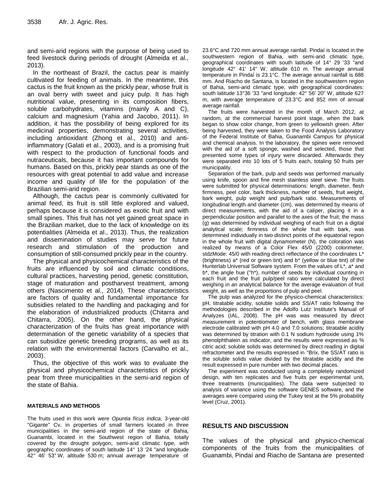and semi-arid regions with the purpose of being used to feed livestock during periods of drought (Almeida et al., 2013).

In the northeast of Brazil, the cactus pear is mainly cultivated for feeding of animals. In the meantime, this cactus is the fruit known as the prickly pear, whose fruit is an oval berry with sweet and juicy pulp. It has high nutritional value, presenting in its composition fibers, soluble carbohydrates, vitamins (mainly A and C), calcium and magnesium (Yahia and Jacobo, 2011). In addition, it has the possibility of being explored for its medicinal properties, demonstrating several activities, including antioxidant (Zhong et al., 2010) and antiinflammatory (Galati et al., 2003), and is a promising fruit with respect to the production of functional foods and nutraceuticals, because it has important compounds for humans. Based on this, prickly pear stands as one of the resources with great potential to add value and increase income and quality of life for the population of the Brazilian semi-arid region.

Although, the cactus pear is commonly cultivated for animal feed, its fruit is still little explored and valued, perhaps because it is considered as exotic fruit and with small spines. This fruit has not yet gained great space in the Brazilian market, due to the lack of knowledge on its potentialities (Almeida et al., 2013). Thus, the realization and dissemination of studies may serve for future research and stimulation of the production and consumption of still-consumed prickly pear in the country.

The physical and physicochemical characteristics of the fruits are influenced by soil and climatic conditions, cultural practices, harvesting period, genetic constitution, stage of maturation and postharvest treatment, among others (Nascimento et al., 2014). These characteristics are factors of quality and fundamental importance for subsidies related to the handling and packaging and for the elaboration of industrialized products (Chitarra and Chitarra, 2005). On the other hand, the physical characterization of the fruits has great importance with determination of the genetic variability of a species that can subsidize genetic breeding programs, as well as its relation with the environmental factors (Carvalho et al., 2003).

Thus, the objective of this work was to evaluate the physical and physicochemical characteristics of prickly pear from three municipalities in the semi-arid region of the state of Bahia.

#### **MATERIALS AND METHODS**

The fruits used in this work were *Opuntia fícus indica*, 3-year-old "Gigante" Cv, in properties of small farmers located in three municipalities in the semi-arid region of the state of Bahia, Guanambi, located in the Southwest region of Bahia, totally covered by the drought polygon, semi-arid climatic type, with geographic coordinates of south latitude 14° 13 '24 "and longitude 42° 46' 53" W, altitude 530 m; annual average temperature of

23.6°C and 720 mm annual average rainfall. Pindaí is located in the southwestern region of Bahia, with semi-arid climatic type, geographical coordinates with south latitude of 14° 29 '33 "and longitude 42° 41' 14" W, altitude 610 m. The average annual temperature in Pindaí is 23.1°C. The average annual rainfall is 688 mm. And Riacho de Santana, is located in the southwestern region of Bahia, semi-arid climatic type, with geographical coordinates: south latitude 13°36 '33 "and longitude: 42° 56' 20" W, altitude 627 m, with average temperature of 23.3°C and 852 mm of annual average rainfall.

The fruits were harvested in the month of March 2012, at random, at the commercial harvest point stage, when the bark began to show color change, from green to yellowish green. After being harvested, they were taken to the Food Analysis Laboratory of the Federal Institute of Bahia, Guanambi Campus for physical and chemical analysis. In the laboratory, the spines were removed with the aid of a soft sponge, washed and selected, those that presented some types of injury were discarded. Afterwards they were separated into 10 lots of 5 fruits each, totaling 50 fruits per municipality.

Separation of the bark, pulp and seeds was performed manually using knife, spoon and fine mesh stainless steel sieve. The fruits were submitted for physical determinations: length, diameter, flesh firmness, peel color, bark thickness, number of seeds, fruit weight, bark weight, pulp weight and pulp/bark ratio. Measurements of longitudinal length and diameter (cm), was determined by means of direct measurements, with the aid of a caliper, placing it in a perpendicular position and parallel to the axes of the fruit; the mass (g) was determined by individual weighing of each fruit on a digital analytical scale; firmness of the whole fruit with bark, was determined individually in two distinct points of the equatorial region in the whole fruit with digital dynamometer (N), the coloration was realized by means of a Color Flex 45/0 (2200) colorimeter, stdzMode: 45/0 with reading direct reflectance of the coordinates L\* (brightness) a\* (red or green tint) and b\* (yellow or blue tint) of the Hunterlab Universal Software system. From the values of L\*, a\* and b\*, the angle hue (°h\*), number of seeds by individual counting in each fruit and the fruit pulp/peel ratio were calculated by direct weighing in an analytical balance for the average evaluation of fruit weight, as well as the proportions of pulp and peel.

The pulp was analyzed for the physico-chemical characteristics: pH, titratable acidity, soluble solids and SS/AT ratio following the methodologies described in the Adolfo Lutz Institute's Manual of Analyzes (IAL, 2008). The pH was was measured by direct measurement in potentiometer of bench, with glass membrane electrode calibrated with pH 4.0 and 7.0 solutions; titratable acidity was determined by titration with 0.1 N sodium hydroxide using 1% phenolphthalein as indicator, and the results were expressed as % citric acid; soluble solids was determined by direct reading in digital refractometer and the results expressed in °Brix, the SS/AT ratio is the soluble solids value divided by the titratable acidity and the result expressed in pure number with two decimal places.

The experiment was conducted using a completely randomized design, with ten replicates and five fruits per experimental unit, three treatments (municipalities). The data were subjected to analysis of variance using the software GENES software, and the averages were compared using the Tukey test at the 5% probability level (Cruz, 2001).

#### **RESULTS AND DISCUSSION**

The values of the physical and physico-chemical components of the fruits from the municipalities of Guanambi, Pindaí and Riacho de Santana are presented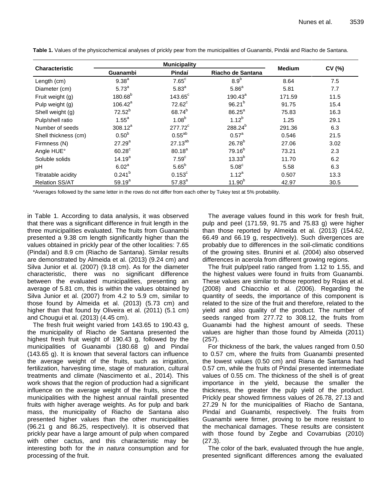| <b>Characteristic</b>  | <b>Municipality</b> |                    |                     | <b>Medium</b> |        |
|------------------------|---------------------|--------------------|---------------------|---------------|--------|
|                        | Guanambi            | Pindaí             | Riacho de Santana   |               | CV (%) |
| Length (cm)            | 9.38 <sup>a</sup>   | $7.65^{\circ}$     | 8.9 <sup>b</sup>    | 8.64          | 7.5    |
| Diameter (cm)          | 5.73 <sup>a</sup>   | 5.83 <sup>a</sup>  | 5.86 <sup>a</sup>   | 5.81          | 7.7    |
| Fruit weight (g)       | $180.68^{b}$        | $143.65^{\circ}$   | $190.43^a$          | 171.59        | 11.5   |
| Pulp weight (g)        | $106.42^a$          | $72.62^c$          | $96.21^{b}$         | 91.75         | 15.4   |
| Shell weight (g)       | $72.52^{b}$         | 68.74 <sup>b</sup> | $86.25^a$           | 75.83         | 16.3   |
| Pulp/shell ratio       | $1.55^a$            | 1.08 <sup>b</sup>  | $1.12^{b}$          | 1.25          | 29.1   |
| Number of seeds        | $308.12^a$          | $277.72^{\circ}$   | 288.24 <sup>b</sup> | 291.36        | 6.3    |
| Shell thickness (cm)   | 0.50 <sup>b</sup>   | $0.55^{ab}$        | 0.57 <sup>a</sup>   | 0.546         | 21.5   |
| Firmness (N)           | $27.29^{a}$         | $27.13^{ab}$       | $26.78^{b}$         | 27.06         | 3.02   |
| Angle HUE <sup>°</sup> | $60.28^{\circ}$     | $80.18^{a}$        | 79.16 <sup>b</sup>  | 73.21         | 2.3    |
| Soluble solids         | $14.19^{a}$         | 7.59 <sup>c</sup>  | $13.33^{b}$         | 11.70         | 6.2    |
| pH                     | 6.02 <sup>a</sup>   | $5.65^{b}$         | 5.08 <sup>c</sup>   | 5.58          | 6.3    |
| Titratable acidity     | $0.241^{b}$         | $0.153^c$          | $1.12^{a}$          | 0.507         | 13.3   |
| <b>Relation SS/AT</b>  | $59.19^{a}$         | $57.83^{a}$        | $11.90^{b}$         | 42.97         | 30.5   |

**Table 1.** Values of the physicochemical analyses of prickly pear from the municipalities of Guanambi, Pindái and Riacho de Santana.

\*Averages followed by the same letter in the rows do not differ from each other by Tukey test at 5% probability.

in Table 1. According to data analysis, it was observed that there was a significant difference in fruit length in the three municipalities evaluated. The fruits from Guanambi presented a 9.38 cm length significantly higher than the values obtained in prickly pear of the other localities: 7.65 (Pindaí) and 8.9 cm (Riacho de Santana). Similar results are demonstrated by Almeida et al. (2013) (9.24 cm) and Silva Junior et al. (2007) (9.18 cm). As for the diameter characteristic, there was no significant difference between the evaluated municipalities, presenting an average of 5.81 cm, this is within the values obtained by Silva Junior et al. (2007) from 4.2 to 5.9 cm, similar to those found by Almeida et al. (2013) (5.73 cm) and higher than that found by Oliveira et al. (2011) (5.1 cm) and Chougui et al. (2013) (4.45 cm).

The fresh fruit weight varied from 143.65 to 190.43 g, the municipality of Riacho de Santana presented the highest fresh fruit weight of 190.43 g, followed by the municipalities of Guanambi (180.68 g) and Pindaí (143.65 g). It is known that several factors can influence the average weight of the fruits, such as irrigation, fertilization, harvesting time, stage of maturation, cultural treatments and climate (Nascimento et al., 2014). This work shows that the region of production had a significant influence on the average weight of the fruits, since the municipalities with the highest annual rainfall presented fruits with higher average weights. As for pulp and bark mass, the municipality of Riacho de Santana also presented higher values than the other municipalities (96.21 g and 86.25, respectively). It is observed that prickly pear have a large amount of pulp when compared with other cactus, and this characteristic may be interesting both for the *in natura* consumption and for processing of the fruit.

The average values found in this work for fresh fruit, pulp and peel (171.59, 91.75 and 75.83 g) were higher than those reported by Almeida et al. (2013) (154.62, 66.49 and 66.19 g, respectively). Such divergences are probably due to differences in the soil-climatic conditions of the growing sites. Brunini et al. (2004) also observed differences in acerola from different growing regions.

The fruit pulp/peel ratio ranged from 1.12 to 1.55, and the highest values were found in fruits from Guanambi. These values are similar to those reported by Rojas et al. (2008) and Chiacchio et al. (2006). Regarding the quantity of seeds, the importance of this component is related to the size of the fruit and therefore, related to the yield and also quality of the product. The number of seeds ranged from 277.72 to 308.12, the fruits from Guanambi had the highest amount of seeds. These values are higher than those found by Almeida (2011) (257).

For thickness of the bark, the values ranged from 0.50 to 0.57 cm, where the fruits from Guanambi presented the lowest values (0.50 cm) and Riana de Santana had 0.57 cm, while the fruits of Pindaí presented intermediate values of 0.55 cm. The thickness of the shell is of great importance in the yield, because the smaller the thickness, the greater the pulp yield of the product. Prickly pear showed firmness values of 26.78, 27.13 and 27.29 N for the municipalities of Riacho de Santana, Pindaí and Guanambi, respectively. The fruits from Guanambi were firmer, proving to be more resistant to the mechanical damages. These results are consistent with those found by Zegbe and Covarrubias (2010) (27.3).

The color of the bark, evaluated through the hue angle, presented significant differences among the evaluated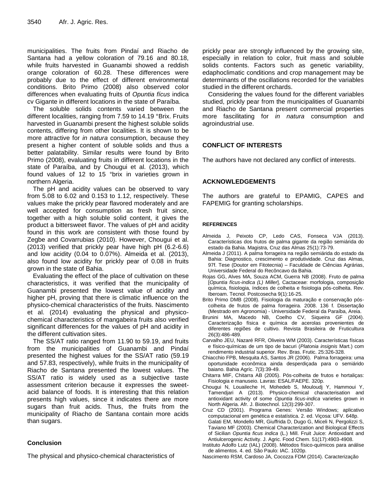municipalities. The fruits from Pindaí and Riacho de Santana had a yellow coloration of 79.16 and 80.18, while fruits harvested in Guanambi showed a reddish orange coloration of 60.28. These differences were probably due to the effect of different environmental conditions. Brito Primo (2008) also observed color differences when evaluating fruits of *Opuntia fícus* indica cv Gigante in different locations in the state of Paraíba.

The soluble solids contents varied between the different localities, ranging from 7.59 to 14.19 °Brix. Fruits harvested in Guanambi present the highest soluble solids contents, differing from other localities. It is shown to be more attractive for *in natura* consumption, because they present a higher content of soluble solids and thus a better palatability. Similar results were found by Brito Primo (2008), evaluating fruits in different locations in the state of Paraíba, and by Chougui et al. (2013), which found values of 12 to 15 °brix in varieties grown in northern Algeria.

The pH and acidity values can be observed to vary from 5.08 to 6.02 and 0.153 to 1.12, respectively. These values make the prickly pear flavored moderately and are well accepted for consumption as fresh fruit since, together with a high soluble solid content, it gives the product a bittersweet flavor. The values of pH and acidity found in this work are consistent with those found by Zegbe and Covarrubias (2010). However, Chougui et al. (2013) verified that prickly pear have high pH (6.2-6.6) and low acidity (0.04 to 0.07%). Almeida et al. (2013), also found low acidity for prickly pear of 0.08 in fruits grown in the state of Bahia.

Evaluating the effect of the place of cultivation on these characteristics, it was verified that the municipality of Guanambi presented the lowest value of acidity and higher pH, proving that there is climatic influence on the physico-chemical characteristics of the fruits. Nascimento et al. (2014) evaluating the physical and physicochemical characteristics of mangabeira fruits also verified significant differences for the values of pH and acidity in the different cultivation sites.

The SS/AT ratio ranged from 11.90 to 59.19, and fruits from the municipalities of Guanambi and Pindaí presented the highest values for the SS/AT ratio (59.19 and 57.83, respectively), while fruits in the municipality of Riacho de Santana presented the lowest values. The SS/AT ratio is widely used as a subjective taste assessment criterion because it expresses the sweetacid balance of foods. It is interesting that this relation presents high values, since it indicates there are more sugars than fruit acids. Thus, the fruits from the municipality of Riacho de Santana contain more acids than sugars.

# **Conclusion**

The physical and physico-chemical characteristics of

prickly pear are strongly influenced by the growing site, especially in relation to color, fruit mass and soluble solids contents. Factors such as genetic variability, edaphoclimatic conditions and crop management may be determinants of the oscillations recorded for the variables studied in the different orchards.

Considering the values found for the different variables studied, prickly pear from the municipalities of Guanambi and Riacho de Santana present commercial properties more fascilitating for *in natura* consumption and agroindustrial use.

## **CONFLICT OF INTERESTS**

The authors have not declared any conflict of interests.

### **ACKNOWLEDGEMENTS**

The authors are grateful to EPAMIG, CAPES and FAPEMIG for granting scholarships.

#### **REFERENCES**

- Almeida J, Peixoto CP, Ledo CAS, Fonseca VJA (2013). Características dos frutos de palma gigante da região semiárida do estado da Bahia. Magistra, Cruz das Almas 25(1):73-79.
- Almeida J (2011). A palma forrageira na região semiárida do estado da Bahia: Diagnostico, crescimento e produtividade. Cruz das Almas, 97f. Tese (Doutor em Fitotecnia) – Faculdade de Ciências Agrárias, Universidade Federal do Recôncavo da Bahia.
- Rojas GG, Alves MA, Souza ACM, Guerra NB (2008). Fruto de palma [*Opuntia fícus-indica (L) Miller*], Cactaceae: morfologia, composição química, fisiologia, índices de colheita e fisiologia pós-colheita. Rev. Iberoam. Tecnol. Postcosecha 9(1):16-25.
- Brito Primo DMB (2008). Fisiologia da maturação e conservação póscolheita de frutos de palma forrageira. 2008. 136 f. Dissertação (Mestrado em Agronomia) - Universidade Federal da Paraíba, Areia.
- Brunini MA, Macedo NB, Coelho CV, Siqueira GF (2004). Caracterização física e química de acerolas provenientes de diferentes regiões de cultivo. Revista Brasileira de Fruticultura 26(3):486-489.
- Carvalho JEU, Nazaré RFR, Oliveira WM (2003). Características físicas e físico-químicas de um tipo de bacuri (*Platonia insignis* Mart.) com rendimento industrial superior. Rev. Bras. Frutic. 25:326-328.
- Chiacchio FPB, Mesquita AS, Santos JR (2006). Palma forrageira: uma oportunidade econômica ainda desperdiçada para o semiárido baiano. Bahia Agríc. 7(3):39-49.
- Chitarra MIF, Chitarra AB (2005). Pós-colheita de frutos e hortaliças: Fisiologia e manuseio. Lavras: ESAL/FAEPE. 320p.
- Chougui N, Louaileche H, Mohedeb S, Mouloudj Y, Hammoui Y, Tamendjari A (2013). Physico-chemical characterisation and antioxidant activity of some *Opuntia ficus-indica* varieties grown in North Algeria. Afr. J. Biotechnol. 12(3):299-307.
- Cruz CD (2001). Programa Genes: Versão Windows; aplicativo computacional em genética e estatística. 2. ed. Viçosa: UFV. 648p. Galati EM, Mondello MR, Giuffrida D, Dugo G, Miceli N, Pergolizzi S, Taviano MF (2003). Chemical Characterization and Biological Effects of Sicilian *Opuntia ficus indica* (L.) Mill. Fruit Juice: Antioxidant and Antiulcerogenic Activity. J. Agric. Food Chem. 51(17):4903-4908.
- Instituto Adolfo Lutz (IAL) (2008). Métodos físico-químicos para análise de alimentos. 4. ed. São Paulo: IAC. 1020p.
- Nascimento RSM, Cardoso JA, Cocozza FDM (2014). Caracterização